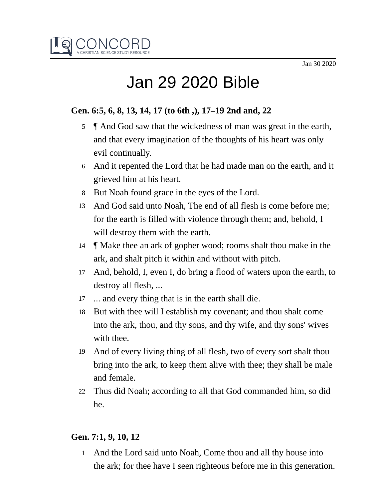

# Jan 29 2020 Bible

## **Gen. 6:5, 6, 8, 13, 14, 17 (to 6th ,), 17–19 2nd and, 22**

- 5  $\parallel$  And God saw that the wickedness of man was great in the earth, and that every imagination of the thoughts of his heart was only evil continually.
- And it repented the Lord that he had made man on the earth, and it 6 grieved him at his heart.
- 8 But Noah found grace in the eyes of the Lord.
- And God said unto Noah, The end of all flesh is come before me; 13 for the earth is filled with violence through them; and, behold, I will destroy them with the earth.
- 14 **We** Make thee an ark of gopher wood; rooms shalt thou make in the ark, and shalt pitch it within and without with pitch.
- And, behold, I, even I, do bring a flood of waters upon the earth, to 17 destroy all flesh, ...
- ... and every thing that is in the earth shall die. 17
- But with thee will I establish my covenant; and thou shalt come into the ark, thou, and thy sons, and thy wife, and thy sons' wives with thee. 18
- And of every living thing of all flesh, two of every sort shalt thou 19 bring into the ark, to keep them alive with thee; they shall be male and female.
- Thus did Noah; according to all that God commanded him, so did he. 22

## **Gen. 7:1, 9, 10, 12**

1 And the Lord said unto Noah, Come thou and all thy house into the ark; for thee have I seen righteous before me in this generation.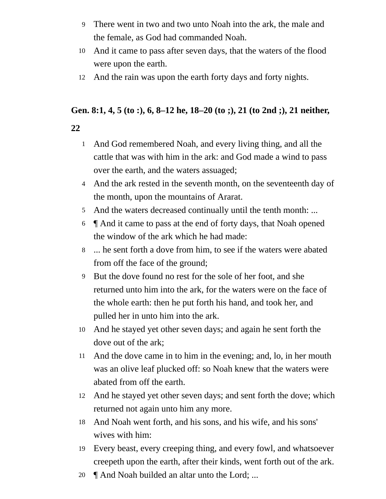- There went in two and two unto Noah into the ark, the male and the female, as God had commanded Noah. 9
- And it came to pass after seven days, that the waters of the flood were upon the earth. 10
- And the rain was upon the earth forty days and forty nights. 12

# **Gen. 8:1, 4, 5 (to :), 6, 8–12 he, 18–20 (to ;), 21 (to 2nd ;), 21 neither,**

- **22**
	- And God remembered Noah, and every living thing, and all the cattle that was with him in the ark: and God made a wind to pass over the earth, and the waters assuaged; 1
	- 4 And the ark rested in the seventh month, on the seventeenth day of the month, upon the mountains of Ararat.
	- 5 And the waters decreased continually until the tenth month: ...
	- ¶ And it came to pass at the end of forty days, that Noah opened the window of the ark which he had made: 6
	- ... he sent forth a dove from him, to see if the waters were abated from off the face of the ground; 8
	- But the dove found no rest for the sole of her foot, and she returned unto him into the ark, for the waters were on the face of the whole earth: then he put forth his hand, and took her, and pulled her in unto him into the ark. 9
	- And he stayed yet other seven days; and again he sent forth the 10 dove out of the ark;
	- And the dove came in to him in the evening; and, lo, in her mouth was an olive leaf plucked off: so Noah knew that the waters were abated from off the earth. 11
	- And he stayed yet other seven days; and sent forth the dove; which returned not again unto him any more. 12
	- And Noah went forth, and his sons, and his wife, and his sons' wives with him: 18
	- Every beast, every creeping thing, and every fowl, and whatsoever creepeth upon the earth, after their kinds, went forth out of the ark. 19
	- ¶ And Noah builded an altar unto the Lord; ... 20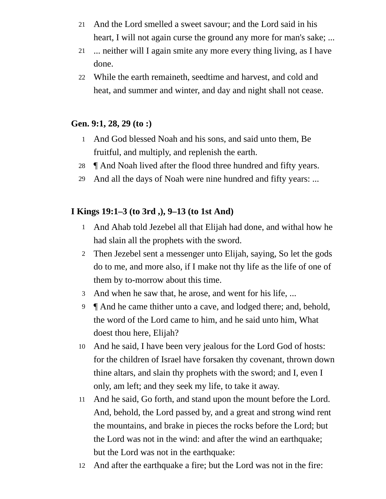- And the Lord smelled a sweet savour; and the Lord said in his 21 heart, I will not again curse the ground any more for man's sake; ...
- ... neither will I again smite any more every thing living, as I have done. 21
- While the earth remaineth, seedtime and harvest, and cold and 22 heat, and summer and winter, and day and night shall not cease.

### **Gen. 9:1, 28, 29 (to :)**

- And God blessed Noah and his sons, and said unto them, Be 1 fruitful, and multiply, and replenish the earth.
- 28 **[And Noah lived after the flood three hundred and fifty years.**
- And all the days of Noah were nine hundred and fifty years: ... 29

## **I Kings 19:1–3 (to 3rd ,), 9–13 (to 1st And)**

- And Ahab told Jezebel all that Elijah had done, and withal how he 1 had slain all the prophets with the sword.
- Then Jezebel sent a messenger unto Elijah, saying, So let the gods 2 do to me, and more also, if I make not thy life as the life of one of them by to-morrow about this time.
- And when he saw that, he arose, and went for his life, ... 3
- 9 **[And he came thither unto a cave, and lodged there; and, behold,** the word of the Lord came to him, and he said unto him, What doest thou here, Elijah?
- And he said, I have been very jealous for the Lord God of hosts: 10 for the children of Israel have forsaken thy covenant, thrown down thine altars, and slain thy prophets with the sword; and I, even I only, am left; and they seek my life, to take it away.
- And he said, Go forth, and stand upon the mount before the Lord. 11 And, behold, the Lord passed by, and a great and strong wind rent the mountains, and brake in pieces the rocks before the Lord; but the Lord was not in the wind: and after the wind an earthquake; but the Lord was not in the earthquake:
- And after the earthquake a fire; but the Lord was not in the fire: 12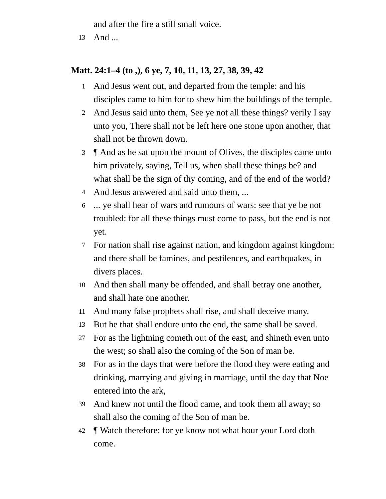and after the fire a still small voice.

13 And ...

## **Matt. 24:1–4 (to ,), 6 ye, 7, 10, 11, 13, 27, 38, 39, 42**

- And Jesus went out, and departed from the temple: and his 1 disciples came to him for to shew him the buildings of the temple.
- And Jesus said unto them, See ye not all these things? verily I say 2 unto you, There shall not be left here one stone upon another, that shall not be thrown down.
- ¶ And as he sat upon the mount of Olives, the disciples came unto 3 him privately, saying, Tell us, when shall these things be? and what shall be the sign of thy coming, and of the end of the world?
- And Jesus answered and said unto them, ... 4
- ... ye shall hear of wars and rumours of wars: see that ye be not troubled: for all these things must come to pass, but the end is not yet. 6
- For nation shall rise against nation, and kingdom against kingdom: 7 and there shall be famines, and pestilences, and earthquakes, in divers places.
- And then shall many be offended, and shall betray one another, 10 and shall hate one another.
- And many false prophets shall rise, and shall deceive many. 11
- But he that shall endure unto the end, the same shall be saved. 13
- For as the lightning cometh out of the east, and shineth even unto the west; so shall also the coming of the Son of man be. 27
- For as in the days that were before the flood they were eating and drinking, marrying and giving in marriage, until the day that Noe entered into the ark, 38
- And knew not until the flood came, and took them all away; so shall also the coming of the Son of man be. 39
- ¶ Watch therefore: for ye know not what hour your Lord doth come. 42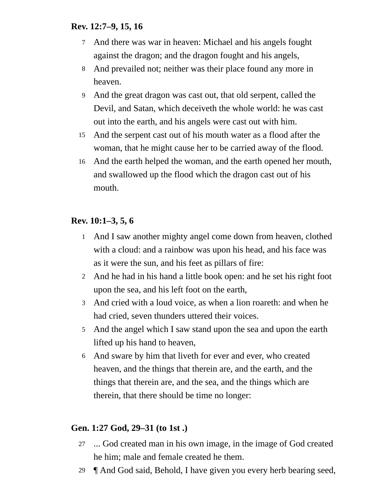#### **Rev. 12:7–9, 15, 16**

- And there was war in heaven: Michael and his angels fought 7 against the dragon; and the dragon fought and his angels,
- And prevailed not; neither was their place found any more in 8 heaven.
- And the great dragon was cast out, that old serpent, called the 9 Devil, and Satan, which deceiveth the whole world: he was cast out into the earth, and his angels were cast out with him.
- And the serpent cast out of his mouth water as a flood after the 15 woman, that he might cause her to be carried away of the flood.
- And the earth helped the woman, and the earth opened her mouth, and swallowed up the flood which the dragon cast out of his mouth. 16

### **Rev. 10:1–3, 5, 6**

- 1 And I saw another mighty angel come down from heaven, clothed with a cloud: and a rainbow was upon his head, and his face was as it were the sun, and his feet as pillars of fire:
- And he had in his hand a little book open: and he set his right foot 2 upon the sea, and his left foot on the earth,
- And cried with a loud voice, as when a lion roareth: and when he 3 had cried, seven thunders uttered their voices.
- And the angel which I saw stand upon the sea and upon the earth 5 lifted up his hand to heaven,
- And sware by him that liveth for ever and ever, who created 6 heaven, and the things that therein are, and the earth, and the things that therein are, and the sea, and the things which are therein, that there should be time no longer:

#### **Gen. 1:27 God, 29–31 (to 1st .)**

- ... God created man in his own image, in the image of God created 27 he him; male and female created he them.
- ¶ And God said, Behold, I have given you every herb bearing seed, 29